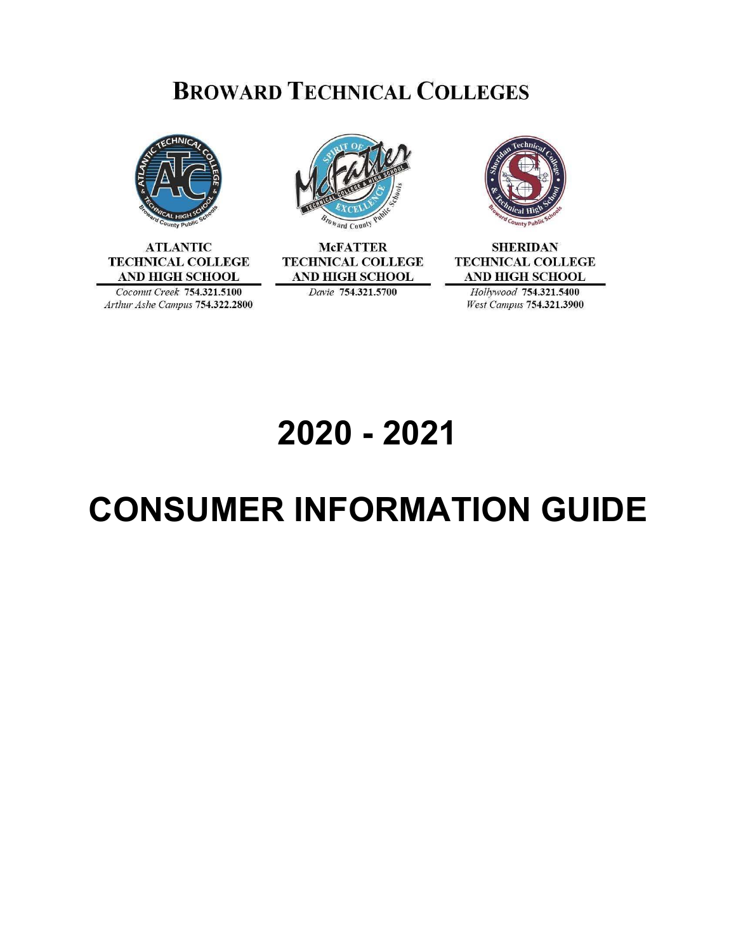# **BROWARD TECHNICAL COLLEGES**



**ATLANTIC TECHNICAL COLLEGE AND HIGH SCHOOL** Coconut Creek 754.321.5100





**McFATTER TECHNICAL COLLEGE AND HIGH SCHOOL** Davie 754.321.5700



**SHERIDAN TECHNICAL COLLEGE AND HIGH SCHOOL** Hollywood 754.321.5400 West Campus 754.321.3900

# **2020 - 2021**

# **CONSUMER INFORMATION GUIDE**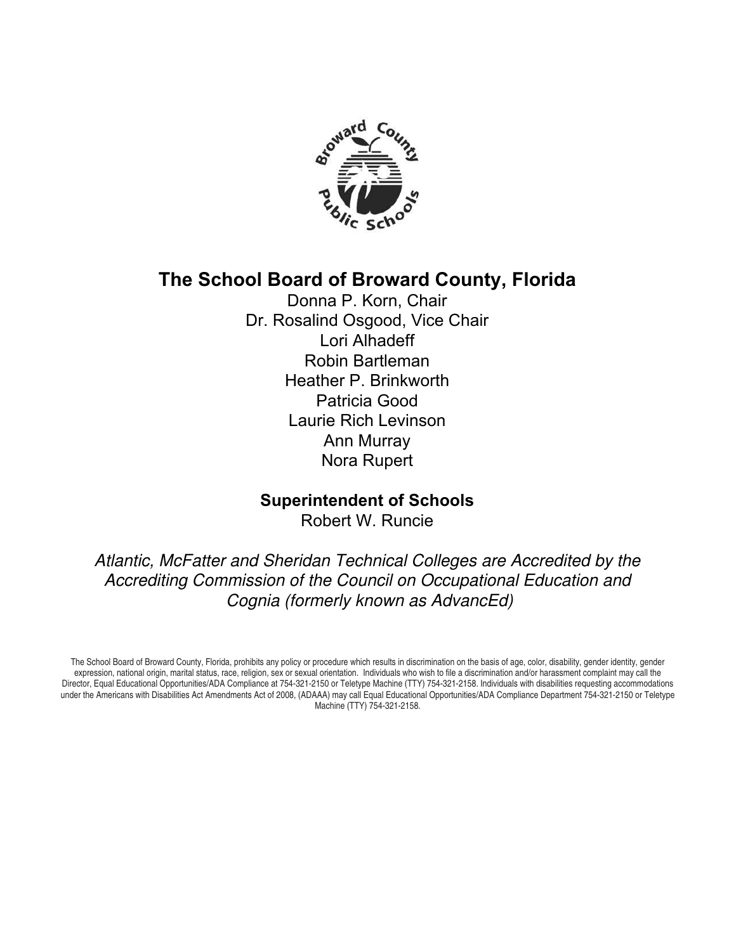

## **The School Board of Broward County, Florida**

Donna P. Korn, Chair Dr. Rosalind Osgood, Vice Chair Lori Alhadeff Robin Bartleman Heather P. Brinkworth Patricia Good Laurie Rich Levinson Ann Murray Nora Rupert

#### **Superintendent of Schools**

Robert W. Runcie

Atlantic, McFatter and Sheridan Technical Colleges are Accredited by the Accrediting Commission of the Council on Occupational Education and Cognia (formerly known as AdvancEd)

The School Board of Broward County, Florida, prohibits any policy or procedure which results in discrimination on the basis of age, color, disability, gender identity, gender expression, national origin, marital status, race, religion, sex or sexual orientation. Individuals who wish to file a discrimination and/or harassment complaint may call the Director, Equal Educational Opportunities/ADA Compliance at 754-321-2150 or Teletype Machine (TTY) 754-321-2158. Individuals with disabilities requesting accommodations under the Americans with Disabilities Act Amendments Act of 2008, (ADAAA) may call Equal Educational Opportunities/ADA Compliance Department 754-321-2150 or Teletype Machine (TTY) 754-321-2158.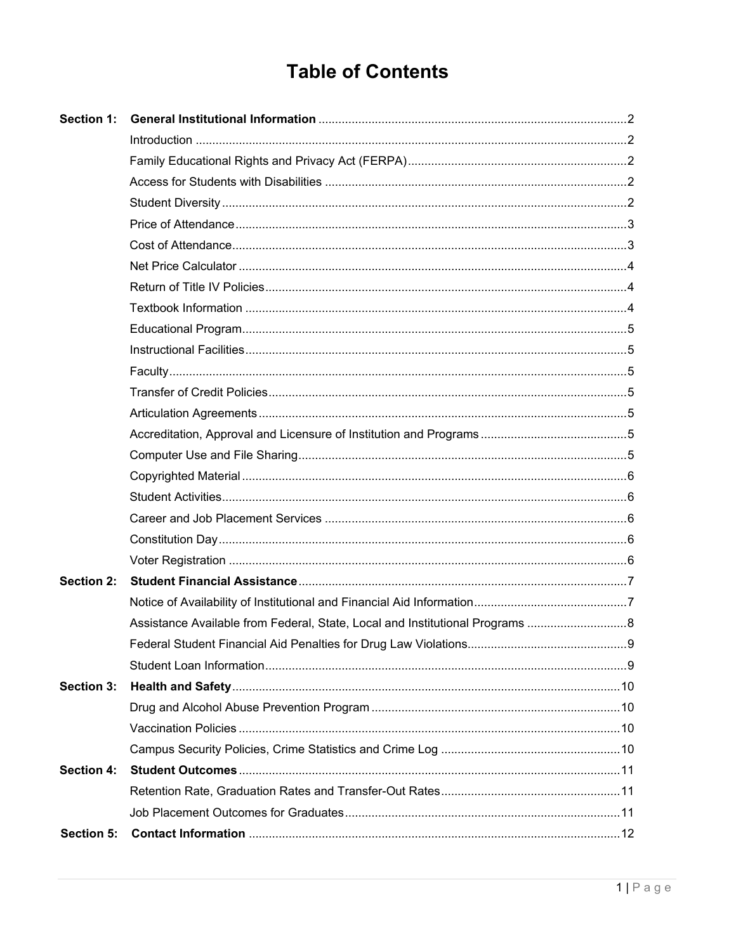# **Table of Contents**

| Section 1:        |                                                                               |  |  |
|-------------------|-------------------------------------------------------------------------------|--|--|
|                   |                                                                               |  |  |
|                   |                                                                               |  |  |
|                   |                                                                               |  |  |
|                   |                                                                               |  |  |
|                   |                                                                               |  |  |
|                   |                                                                               |  |  |
|                   |                                                                               |  |  |
|                   |                                                                               |  |  |
|                   |                                                                               |  |  |
|                   |                                                                               |  |  |
|                   |                                                                               |  |  |
|                   |                                                                               |  |  |
|                   |                                                                               |  |  |
|                   |                                                                               |  |  |
|                   |                                                                               |  |  |
|                   |                                                                               |  |  |
|                   |                                                                               |  |  |
|                   |                                                                               |  |  |
|                   |                                                                               |  |  |
|                   |                                                                               |  |  |
|                   |                                                                               |  |  |
| <b>Section 2:</b> |                                                                               |  |  |
|                   |                                                                               |  |  |
|                   | Assistance Available from Federal, State, Local and Institutional Programs  8 |  |  |
|                   |                                                                               |  |  |
|                   |                                                                               |  |  |
| <b>Section 3:</b> |                                                                               |  |  |
|                   |                                                                               |  |  |
|                   |                                                                               |  |  |
|                   |                                                                               |  |  |
| Section 4:        |                                                                               |  |  |
|                   |                                                                               |  |  |
|                   |                                                                               |  |  |
| <b>Section 5:</b> |                                                                               |  |  |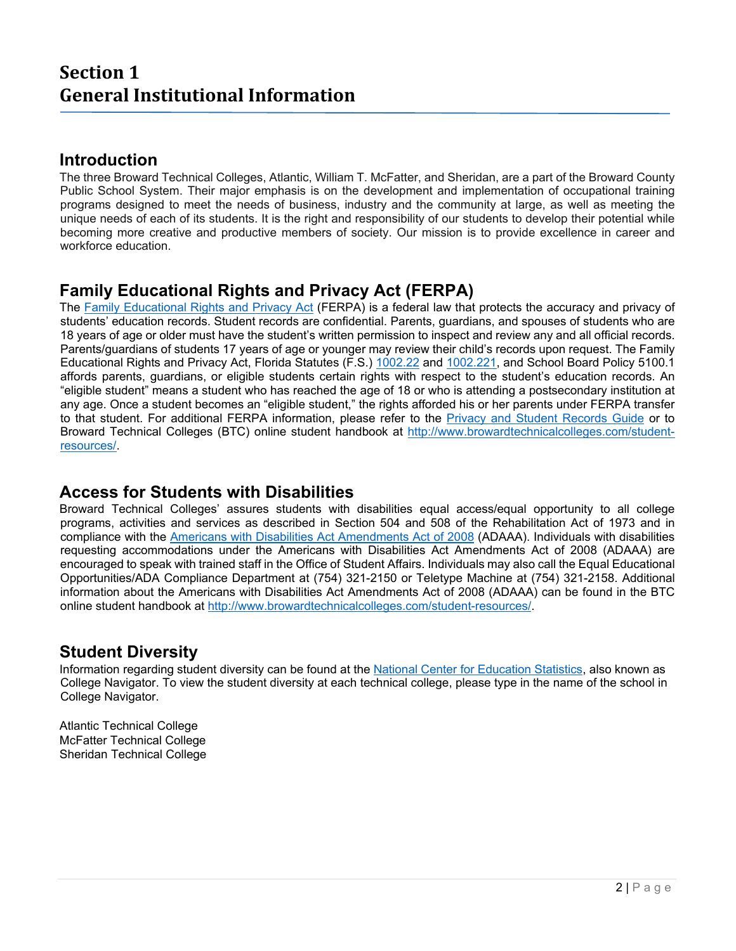## **Section 1 General Institutional Information**

#### **Introduction**

The three Broward Technical Colleges, Atlantic, William T. McFatter, and Sheridan, are a part of the Broward County Public School System. Their major emphasis is on the development and implementation of occupational training programs designed to meet the needs of business, industry and the community at large, as well as meeting the unique needs of each of its students. It is the right and responsibility of our students to develop their potential while becoming more creative and productive members of society. Our mission is to provide excellence in career and workforce education.

## **Family Educational Rights and Privacy Act (FERPA)**

The Family Educational Rights and Privacy Act (FERPA) is a federal law that protects the accuracy and privacy of students' education records. Student records are confidential. Parents, guardians, and spouses of students who are 18 years of age or older must have the student's written permission to inspect and review any and all official records. Parents/guardians of students 17 years of age or younger may review their child's records upon request. The Family Educational Rights and Privacy Act, Florida Statutes (F.S.) 1002.22 and 1002.221, and School Board Policy 5100.1 affords parents, guardians, or eligible students certain rights with respect to the student's education records. An "eligible student" means a student who has reached the age of 18 or who is attending a postsecondary institution at any age. Once a student becomes an "eligible student," the rights afforded his or her parents under FERPA transfer to that student. For additional FERPA information, please refer to the Privacy and Student Records Guide or to Broward Technical Colleges (BTC) online student handbook at http://www.browardtechnicalcolleges.com/studentresources/.

#### **Access for Students with Disabilities**

Broward Technical Colleges' assures students with disabilities equal access/equal opportunity to all college programs, activities and services as described in Section 504 and 508 of the Rehabilitation Act of 1973 and in compliance with the Americans with Disabilities Act Amendments Act of 2008 (ADAAA). Individuals with disabilities requesting accommodations under the Americans with Disabilities Act Amendments Act of 2008 (ADAAA) are encouraged to speak with trained staff in the Office of Student Affairs. Individuals may also call the Equal Educational Opportunities/ADA Compliance Department at (754) 321-2150 or Teletype Machine at (754) 321-2158. Additional information about the Americans with Disabilities Act Amendments Act of 2008 (ADAAA) can be found in the BTC online student handbook at http://www.browardtechnicalcolleges.com/student-resources/.

### **Student Diversity**

Information regarding student diversity can be found at the National Center for Education Statistics, also known as College Navigator. To view the student diversity at each technical college, please type in the name of the school in College Navigator.

Atlantic Technical College McFatter Technical College Sheridan Technical College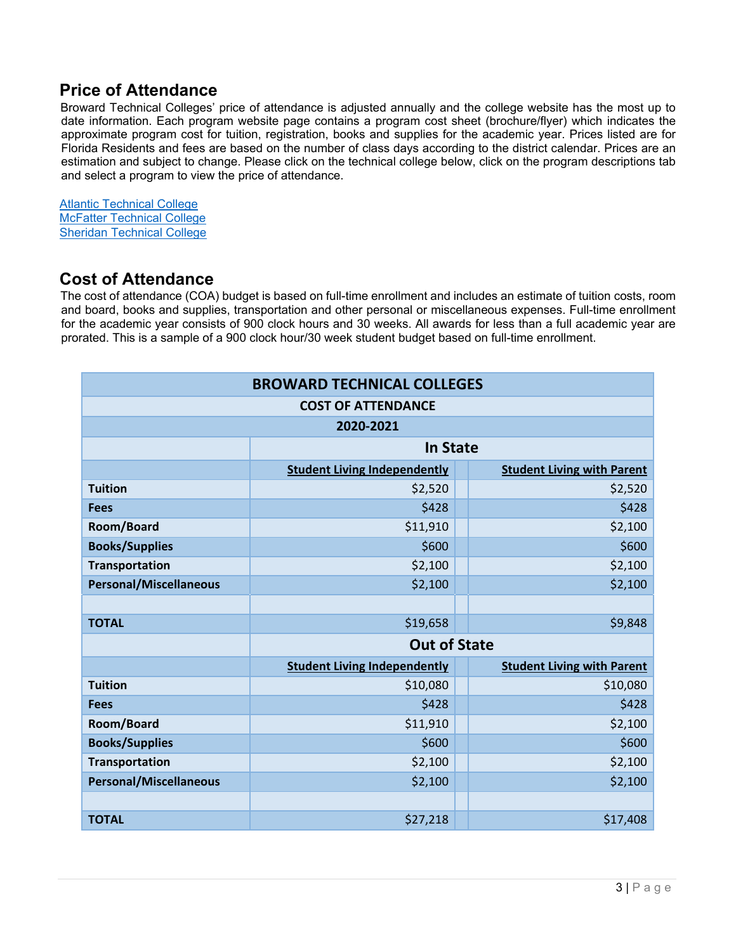### **Price of Attendance**

Broward Technical Colleges' price of attendance is adjusted annually and the college website has the most up to date information. Each program website page contains a program cost sheet (brochure/flyer) which indicates the approximate program cost for tuition, registration, books and supplies for the academic year. Prices listed are for Florida Residents and fees are based on the number of class days according to the district calendar. Prices are an estimation and subject to change. Please click on the technical college below, click on the program descriptions tab and select a program to view the price of attendance.

Atlantic Technical College McFatter Technical College Sheridan Technical College

#### **Cost of Attendance**

The cost of attendance (COA) budget is based on full-time enrollment and includes an estimate of tuition costs, room and board, books and supplies, transportation and other personal or miscellaneous expenses. Full-time enrollment for the academic year consists of 900 clock hours and 30 weeks. All awards for less than a full academic year are prorated. This is a sample of a 900 clock hour/30 week student budget based on full-time enrollment.

| <b>BROWARD TECHNICAL COLLEGES</b> |                                     |  |                                   |  |  |  |  |
|-----------------------------------|-------------------------------------|--|-----------------------------------|--|--|--|--|
| <b>COST OF ATTENDANCE</b>         |                                     |  |                                   |  |  |  |  |
| 2020-2021                         |                                     |  |                                   |  |  |  |  |
|                                   | <b>In State</b>                     |  |                                   |  |  |  |  |
|                                   | <b>Student Living Independently</b> |  | <b>Student Living with Parent</b> |  |  |  |  |
| <b>Tuition</b>                    | \$2,520                             |  | \$2,520                           |  |  |  |  |
| <b>Fees</b>                       | \$428                               |  | \$428                             |  |  |  |  |
| Room/Board                        | \$11,910                            |  | \$2,100                           |  |  |  |  |
| <b>Books/Supplies</b>             | \$600                               |  | \$600                             |  |  |  |  |
| <b>Transportation</b>             | \$2,100                             |  | \$2,100                           |  |  |  |  |
| <b>Personal/Miscellaneous</b>     | \$2,100                             |  | \$2,100                           |  |  |  |  |
|                                   |                                     |  |                                   |  |  |  |  |
| <b>TOTAL</b>                      | \$19,658                            |  | \$9,848                           |  |  |  |  |
|                                   | <b>Out of State</b>                 |  |                                   |  |  |  |  |
|                                   | <b>Student Living Independently</b> |  | <b>Student Living with Parent</b> |  |  |  |  |
| <b>Tuition</b>                    | \$10,080                            |  | \$10,080                          |  |  |  |  |
| <b>Fees</b>                       | \$428                               |  | \$428                             |  |  |  |  |
| Room/Board                        | \$11,910                            |  | \$2,100                           |  |  |  |  |
| <b>Books/Supplies</b>             | \$600                               |  | \$600                             |  |  |  |  |
| <b>Transportation</b>             | \$2,100                             |  | \$2,100                           |  |  |  |  |
| <b>Personal/Miscellaneous</b>     | \$2,100                             |  | \$2,100                           |  |  |  |  |
|                                   |                                     |  |                                   |  |  |  |  |
| <b>TOTAL</b>                      | \$27,218                            |  | \$17,408                          |  |  |  |  |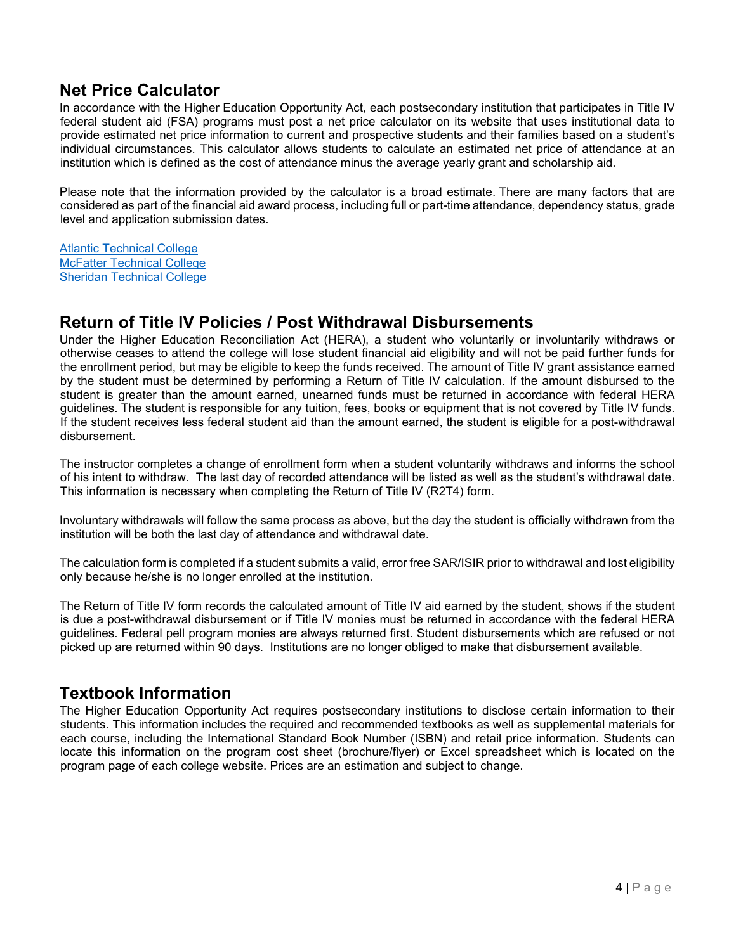### **Net Price Calculator**

In accordance with the Higher Education Opportunity Act, each postsecondary institution that participates in Title IV federal student aid (FSA) programs must post a net price calculator on its website that uses institutional data to provide estimated net price information to current and prospective students and their families based on a student's individual circumstances. This calculator allows students to calculate an estimated net price of attendance at an institution which is defined as the cost of attendance minus the average yearly grant and scholarship aid.

Please note that the information provided by the calculator is a broad estimate. There are many factors that are considered as part of the financial aid award process, including full or part-time attendance, dependency status, grade level and application submission dates.

Atlantic Technical College McFatter Technical College Sheridan Technical College

#### **Return of Title IV Policies / Post Withdrawal Disbursements**

Under the Higher Education Reconciliation Act (HERA), a student who voluntarily or involuntarily withdraws or otherwise ceases to attend the college will lose student financial aid eligibility and will not be paid further funds for the enrollment period, but may be eligible to keep the funds received. The amount of Title IV grant assistance earned by the student must be determined by performing a Return of Title IV calculation. If the amount disbursed to the student is greater than the amount earned, unearned funds must be returned in accordance with federal HERA guidelines. The student is responsible for any tuition, fees, books or equipment that is not covered by Title IV funds. If the student receives less federal student aid than the amount earned, the student is eligible for a post-withdrawal disbursement.

The instructor completes a change of enrollment form when a student voluntarily withdraws and informs the school of his intent to withdraw. The last day of recorded attendance will be listed as well as the student's withdrawal date. This information is necessary when completing the Return of Title IV (R2T4) form.

Involuntary withdrawals will follow the same process as above, but the day the student is officially withdrawn from the institution will be both the last day of attendance and withdrawal date.

The calculation form is completed if a student submits a valid, error free SAR/ISIR prior to withdrawal and lost eligibility only because he/she is no longer enrolled at the institution.

The Return of Title IV form records the calculated amount of Title IV aid earned by the student, shows if the student is due a post-withdrawal disbursement or if Title IV monies must be returned in accordance with the federal HERA guidelines. Federal pell program monies are always returned first. Student disbursements which are refused or not picked up are returned within 90 days. Institutions are no longer obliged to make that disbursement available.

### **Textbook Information**

The Higher Education Opportunity Act requires postsecondary institutions to disclose certain information to their students. This information includes the required and recommended textbooks as well as supplemental materials for each course, including the International Standard Book Number (ISBN) and retail price information. Students can locate this information on the program cost sheet (brochure/flyer) or Excel spreadsheet which is located on the program page of each college website. Prices are an estimation and subject to change.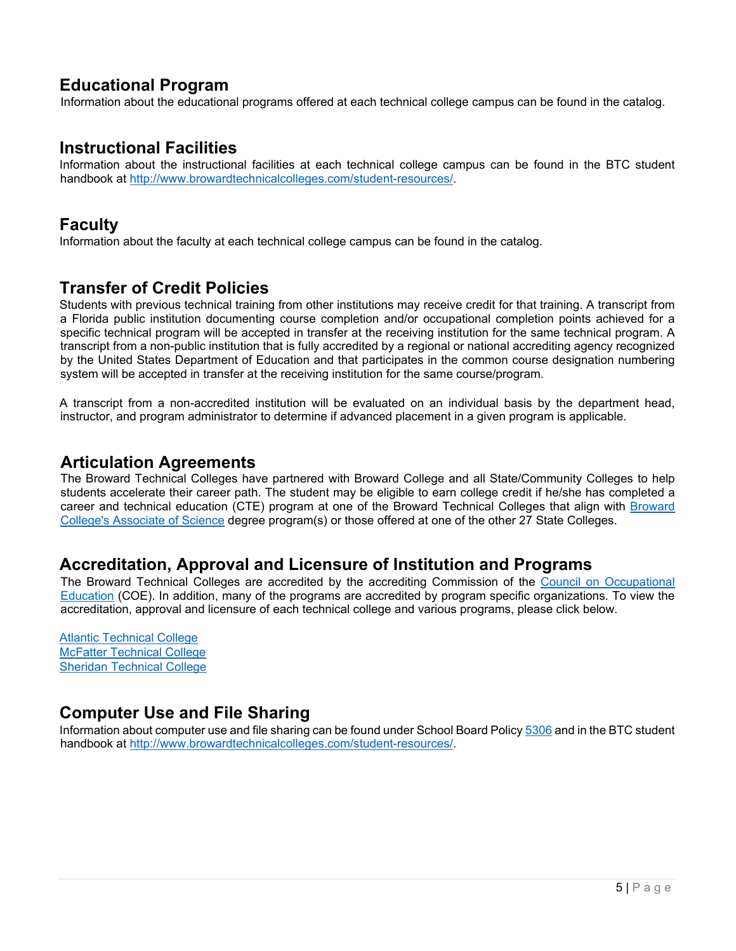### **Educational Program**

Information about the educational programs offered at each technical college campus can be found in the catalog.

#### **Instructional Facilities**

Information about the instructional facilities at each technical college campus can be found in the BTC student handbook at http://www.browardtechnicalcolleges.com/student-resources/.

#### **Faculty**

Information about the faculty at each technical college campus can be found in the catalog.

#### **Transfer of Credit Policies**

Students with previous technical training from other institutions may receive credit for that training. A transcript from a Florida public institution documenting course completion and/or occupational completion points achieved for a specific technical program will be accepted in transfer at the receiving institution for the same technical program. A transcript from a non-public institution that is fully accredited by a regional or national accrediting agency recognized by the United States Department of Education and that participates in the common course designation numbering system will be accepted in transfer at the receiving institution for the same course/program.

A transcript from a non-accredited institution will be evaluated on an individual basis by the department head, instructor, and program administrator to determine if advanced placement in a given program is applicable.

#### **Articulation Agreements**

The Broward Technical Colleges have partnered with Broward College and all State/Community Colleges to help students accelerate their career path. The student may be eligible to earn college credit if he/she has completed a career and technical education (CTE) program at one of the Broward Technical Colleges that align with Broward College's Associate of Science degree program(s) or those offered at one of the other 27 State Colleges.

### **Accreditation, Approval and Licensure of Institution and Programs**

The Broward Technical Colleges are accredited by the accrediting Commission of the Council on Occupational Education (COE). In addition, many of the programs are accredited by program specific organizations. To view the accreditation, approval and licensure of each technical college and various programs, please click below.

Atlantic Technical College McFatter Technical College Sheridan Technical College

### **Computer Use and File Sharing**

Information about computer use and file sharing can be found under School Board Policy 5306 and in the BTC student handbook at http://www.browardtechnicalcolleges.com/student-resources/.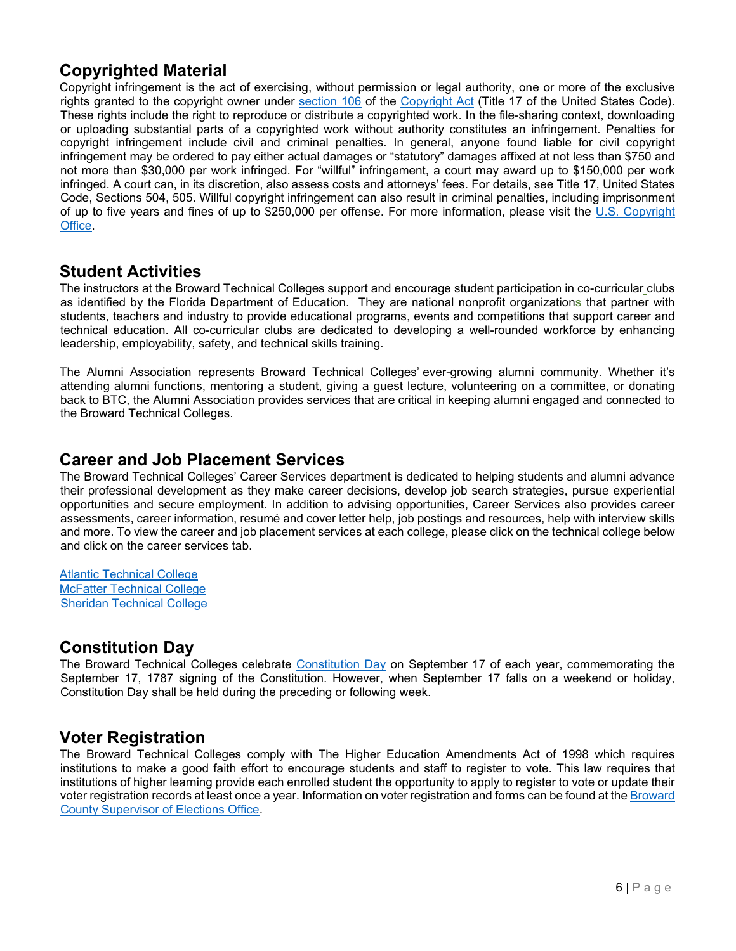### **Copyrighted Material**

Copyright infringement is the act of exercising, without permission or legal authority, one or more of the exclusive rights granted to the copyright owner under section 106 of the Copyright Act (Title 17 of the United States Code). These rights include the right to reproduce or distribute a copyrighted work. In the file-sharing context, downloading or uploading substantial parts of a copyrighted work without authority constitutes an infringement. Penalties for copyright infringement include civil and criminal penalties. In general, anyone found liable for civil copyright infringement may be ordered to pay either actual damages or "statutory" damages affixed at not less than \$750 and not more than \$30,000 per work infringed. For "willful" infringement, a court may award up to \$150,000 per work infringed. A court can, in its discretion, also assess costs and attorneys' fees. For details, see Title 17, United States Code, Sections 504, 505. Willful copyright infringement can also result in criminal penalties, including imprisonment of up to five years and fines of up to \$250,000 per offense. For more information, please visit the U.S. Copyright Office.

#### **Student Activities**

The instructors at the Broward Technical Colleges support and encourage student participation in co-curricular clubs as identified by the Florida Department of Education. They are national nonprofit organizations that partner with students, teachers and industry to provide educational programs, events and competitions that support career and technical education. All co-curricular clubs are dedicated to developing a well-rounded workforce by enhancing leadership, employability, safety, and technical skills training.

The Alumni Association represents Broward Technical Colleges' ever-growing alumni community. Whether it's attending alumni functions, mentoring a student, giving a guest lecture, volunteering on a committee, or donating back to BTC, the Alumni Association provides services that are critical in keeping alumni engaged and connected to the Broward Technical Colleges.

#### **Career and Job Placement Services**

The Broward Technical Colleges' Career Services department is dedicated to helping students and alumni advance their professional development as they make career decisions, develop job search strategies, pursue experiential opportunities and secure employment. In addition to advising opportunities, Career Services also provides career assessments, career information, resumé and cover letter help, job postings and resources, help with interview skills and more. To view the career and job placement services at each college, please click on the technical college below and click on the career services tab.

Atlantic Technical College McFatter Technical College Sheridan Technical College

#### **Constitution Day**

The Broward Technical Colleges celebrate Constitution Day on September 17 of each year, commemorating the September 17, 1787 signing of the Constitution. However, when September 17 falls on a weekend or holiday, Constitution Day shall be held during the preceding or following week.

### **Voter Registration**

The Broward Technical Colleges comply with The Higher Education Amendments Act of 1998 which requires institutions to make a good faith effort to encourage students and staff to register to vote. This law requires that institutions of higher learning provide each enrolled student the opportunity to apply to register to vote or update their voter registration records at least once a year. Information on voter registration and forms can be found at the Broward County Supervisor of Elections Office.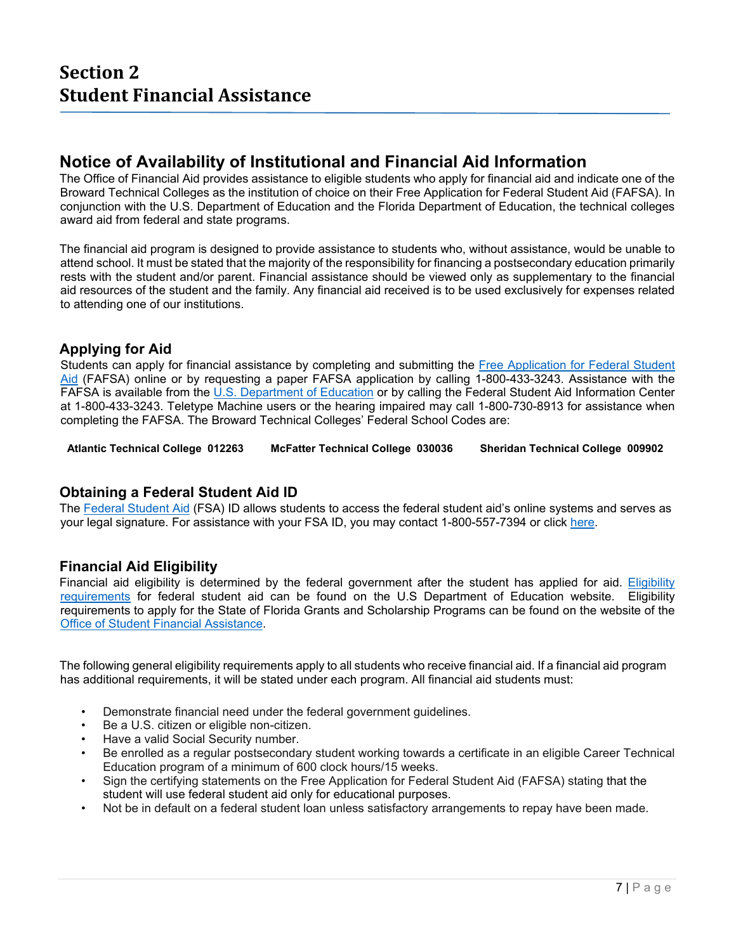#### **Notice of Availability of Institutional and Financial Aid Information**

The Office of Financial Aid provides assistance to eligible students who apply for financial aid and indicate one of the Broward Technical Colleges as the institution of choice on their Free Application for Federal Student Aid (FAFSA). In conjunction with the U.S. Department of Education and the Florida Department of Education, the technical colleges award aid from federal and state programs.

The financial aid program is designed to provide assistance to students who, without assistance, would be unable to attend school. It must be stated that the majority of the responsibility for financing a postsecondary education primarily rests with the student and/or parent. Financial assistance should be viewed only as supplementary to the financial aid resources of the student and the family. Any financial aid received is to be used exclusively for expenses related to attending one of our institutions.

#### **Applying for Aid**

Students can apply for financial assistance by completing and submitting the Free Application for Federal Student Aid (FAFSA) online or by requesting a paper FAFSA application by calling 1-800-433-3243. Assistance with the FAFSA is available from the U.S. Department of Education or by calling the Federal Student Aid Information Center at 1-800-433-3243. Teletype Machine users or the hearing impaired may call 1-800-730-8913 for assistance when completing the FAFSA. The Broward Technical Colleges' Federal School Codes are:

 **Atlantic Technical College 012263 McFatter Technical College 030036 Sheridan Technical College 009902** 

#### **Obtaining a Federal Student Aid ID**

The Federal Student Aid (FSA) ID allows students to access the federal student aid's online systems and serves as your legal signature. For assistance with your FSA ID, you may contact 1-800-557-7394 or click here.

#### **Financial Aid Eligibility**

Financial aid eligibility is determined by the federal government after the student has applied for aid. Eligibility requirements for federal student aid can be found on the U.S Department of Education website. Eligibility requirements to apply for the State of Florida Grants and Scholarship Programs can be found on the website of the Office of Student Financial Assistance.

The following general eligibility requirements apply to all students who receive financial aid. If a financial aid program has additional requirements, it will be stated under each program. All financial aid students must:

- Demonstrate financial need under the federal government guidelines.
- Be a U.S. citizen or eligible non-citizen.
- Have a valid Social Security number.
- Be enrolled as a regular postsecondary student working towards a certificate in an eligible Career Technical Education program of a minimum of 600 clock hours/15 weeks.
- Sign the certifying statements on the Free Application for Federal Student Aid (FAFSA) stating that the student will use federal student aid only for educational purposes.
- Not be in default on a federal student loan unless satisfactory arrangements to repay have been made.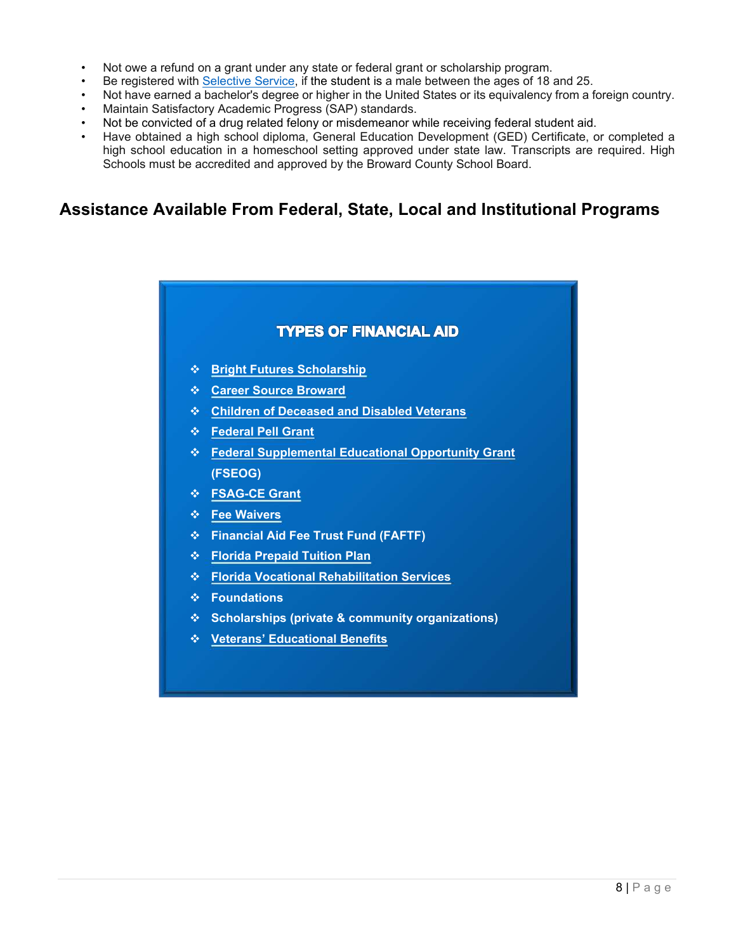- Not owe a refund on a grant under any state or federal grant or scholarship program.
- Be registered with Selective Service, if the student is a male between the ages of 18 and 25.
- Not have earned a bachelor's degree or higher in the United States or its equivalency from a foreign country.
- Maintain Satisfactory Academic Progress (SAP) standards.
- Not be convicted of a drug related felony or misdemeanor while receiving federal student aid.
- Have obtained a high school diploma, General Education Development (GED) Certificate, or completed a high school education in a homeschool setting approved under state law. Transcripts are required. High Schools must be accredited and approved by the Broward County School Board.

### **Assistance Available From Federal, State, Local and Institutional Programs**

# **TYPES OF FINANCIAL AID Bright Futures Scholarship Career Source Broward Children of Deceased and Disabled Veterans Federal Pell Grant Federal Supplemental Educational Opportunity Grant (FSEOG) FSAG-CE Grant Fee Waivers Financial Aid Fee Trust Fund (FAFTF) Florida Prepaid Tuition Plan Florida Vocational Rehabilitation Services Foundations Scholarships (private & community organizations) Veterans' Educational Benefits**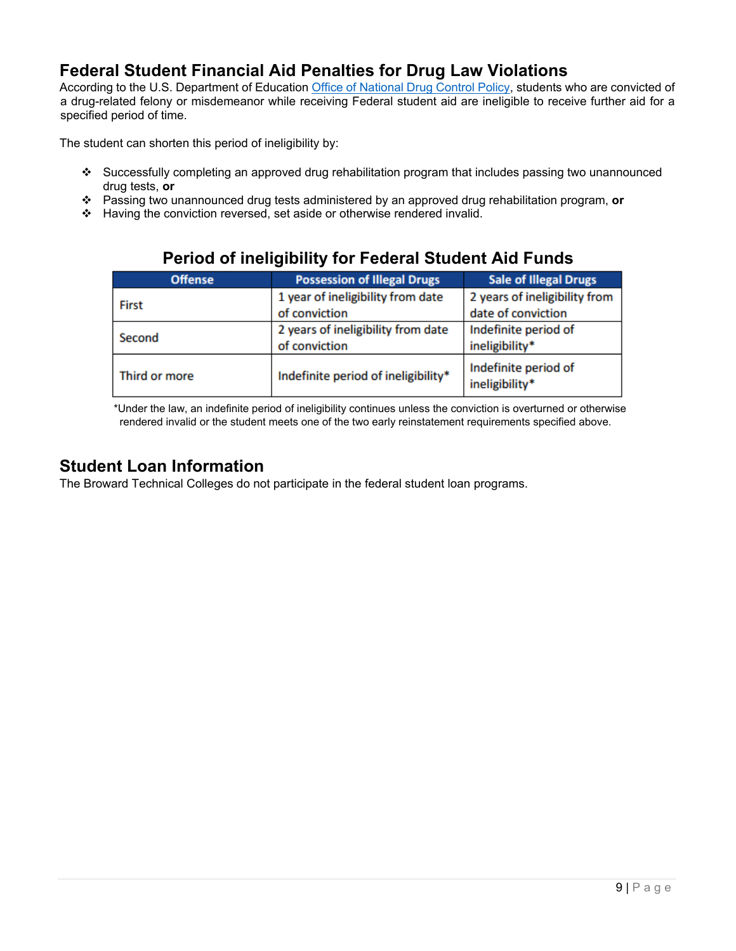## **Federal Student Financial Aid Penalties for Drug Law Violations**

According to the U.S. Department of Education Office of National Drug Control Policy, students who are convicted of a drug-related felony or misdemeanor while receiving Federal student aid are ineligible to receive further aid for a specified period of time.

The student can shorten this period of ineligibility by:

- Successfully completing an approved drug rehabilitation program that includes passing two unannounced drug tests, **or**
- Passing two unannounced drug tests administered by an approved drug rehabilitation program, **or**
- \* Having the conviction reversed, set aside or otherwise rendered invalid.

| <b>Offense</b> | <b>Possession of Illegal Drugs</b>  | <b>Sale of Illegal Drugs</b>           |
|----------------|-------------------------------------|----------------------------------------|
| <b>First</b>   | 1 year of ineligibility from date   | 2 years of ineligibility from          |
|                | of conviction                       | date of conviction                     |
| Second         | 2 years of ineligibility from date  | Indefinite period of                   |
|                | of conviction                       | ineligibility*                         |
| Third or more  | Indefinite period of ineligibility* | Indefinite period of<br>ineligibility* |

### **Period of ineligibility for Federal Student Aid Funds**

 \*Under the law, an indefinite period of ineligibility continues unless the conviction is overturned or otherwise rendered invalid or the student meets one of the two early reinstatement requirements specified above.

#### **Student Loan Information**

The Broward Technical Colleges do not participate in the federal student loan programs.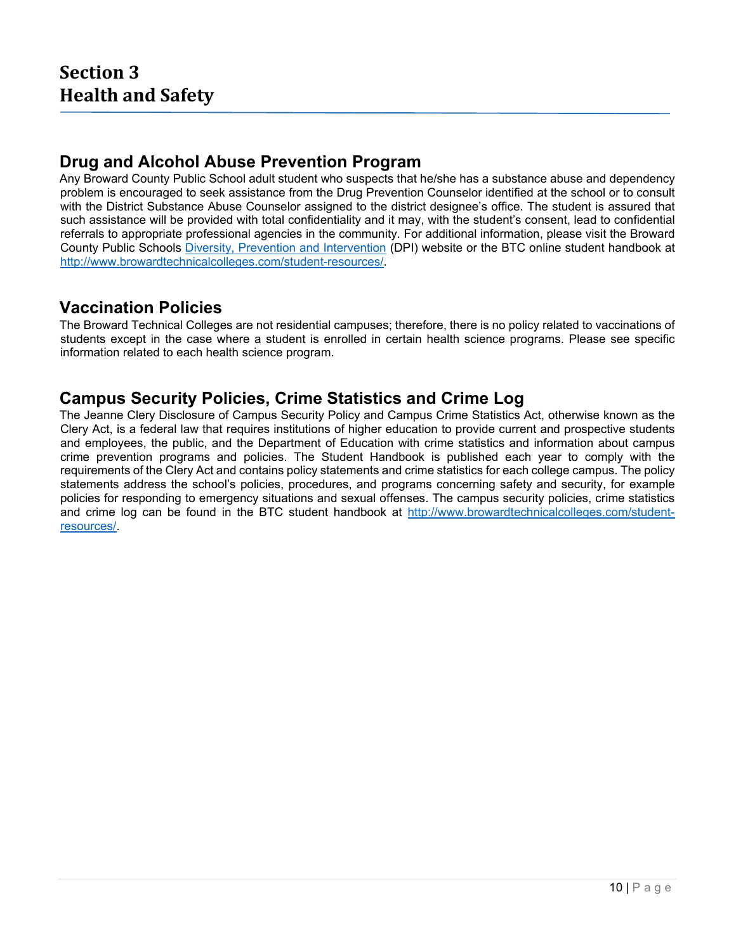#### **Drug and Alcohol Abuse Prevention Program**

Any Broward County Public School adult student who suspects that he/she has a substance abuse and dependency problem is encouraged to seek assistance from the Drug Prevention Counselor identified at the school or to consult with the District Substance Abuse Counselor assigned to the district designee's office. The student is assured that such assistance will be provided with total confidentiality and it may, with the student's consent, lead to confidential referrals to appropriate professional agencies in the community. For additional information, please visit the Broward County Public Schools Diversity, Prevention and Intervention (DPI) website or the BTC online student handbook at http://www.browardtechnicalcolleges.com/student-resources/.

### **Vaccination Policies**

The Broward Technical Colleges are not residential campuses; therefore, there is no policy related to vaccinations of students except in the case where a student is enrolled in certain health science programs. Please see specific information related to each health science program.

### **Campus Security Policies, Crime Statistics and Crime Log**

The Jeanne Clery Disclosure of Campus Security Policy and Campus Crime Statistics Act, otherwise known as the Clery Act, is a federal law that requires institutions of higher education to provide current and prospective students and employees, the public, and the Department of Education with crime statistics and information about campus crime prevention programs and policies. The Student Handbook is published each year to comply with the requirements of the Clery Act and contains policy statements and crime statistics for each college campus. The policy statements address the school's policies, procedures, and programs concerning safety and security, for example policies for responding to emergency situations and sexual offenses. The campus security policies, crime statistics and crime log can be found in the BTC student handbook at http://www.browardtechnicalcolleges.com/studentresources/.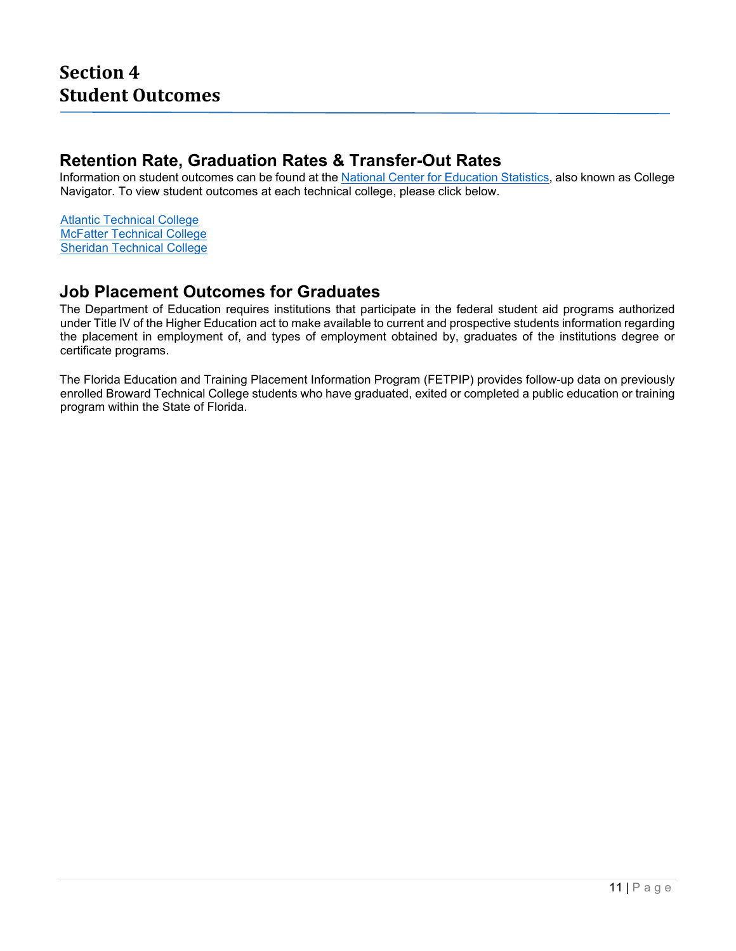#### **Retention Rate, Graduation Rates & Transfer-Out Rates**

Information on student outcomes can be found at the National Center for Education Statistics, also known as College Navigator. To view student outcomes at each technical college, please click below.

Atlantic Technical College McFatter Technical College Sheridan Technical College

### **Job Placement Outcomes for Graduates**

The Department of Education requires institutions that participate in the federal student aid programs authorized under Title IV of the Higher Education act to make available to current and prospective students information regarding the placement in employment of, and types of employment obtained by, graduates of the institutions degree or certificate programs.

The Florida Education and Training Placement Information Program (FETPIP) provides follow-up data on previously enrolled Broward Technical College students who have graduated, exited or completed a public education or training program within the State of Florida.